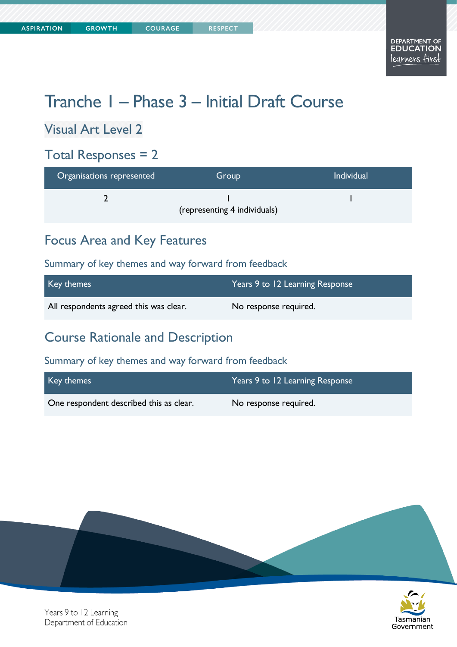# Tranche 1 – Phase 3 – Initial Draft Course

Visual Art Level 2

### Total Responses = 2

| Organisations represented | Group                        | <b>Individual</b> |
|---------------------------|------------------------------|-------------------|
|                           | (representing 4 individuals) |                   |

# Focus Area and Key Features

#### Summary of key themes and way forward from feedback

| Key themes                             | Years 9 to 12 Learning Response |
|----------------------------------------|---------------------------------|
| All respondents agreed this was clear. | No response required.           |

# Course Rationale and Description

#### Summary of key themes and way forward from feedback

| Key themes                              | Years 9 to 12 Learning Response |
|-----------------------------------------|---------------------------------|
| One respondent described this as clear. | No response required.           |





Years 9 to 12 Learning Department of Education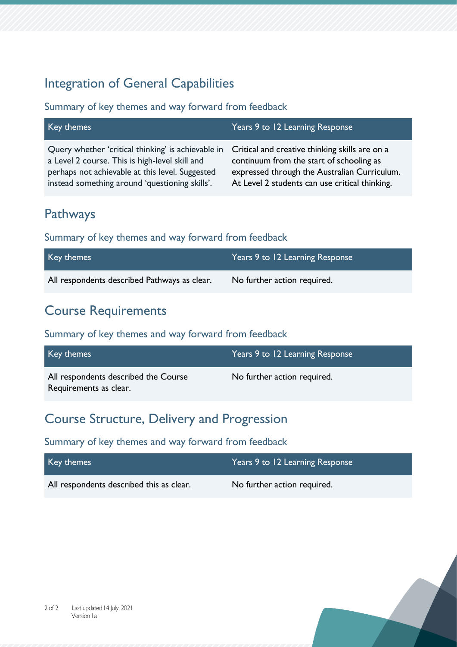# Integration of General Capabilities

#### Summary of key themes and way forward from feedback

| Key themes                                                                                                                                                                                                                                               | Years 9 to 12 Learning Response                                                                                                            |
|----------------------------------------------------------------------------------------------------------------------------------------------------------------------------------------------------------------------------------------------------------|--------------------------------------------------------------------------------------------------------------------------------------------|
| Query whether 'critical thinking' is achievable in Critical and creative thinking skills are on a<br>a Level 2 course. This is high-level skill and<br>perhaps not achievable at this level. Suggested<br>instead something around 'questioning skills'. | continuum from the start of schooling as<br>expressed through the Australian Curriculum.<br>At Level 2 students can use critical thinking. |

# Pathways

#### Summary of key themes and way forward from feedback

| Key themes                                   | Years 9 to 12 Learning Response |
|----------------------------------------------|---------------------------------|
| All respondents described Pathways as clear. | No further action required.     |

# Course Requirements

#### Summary of key themes and way forward from feedback

| Key themes                                                     | Years 9 to 12 Learning Response |
|----------------------------------------------------------------|---------------------------------|
| All respondents described the Course<br>Requirements as clear. | No further action required.     |

# Course Structure, Delivery and Progression

#### Summary of key themes and way forward from feedback

| Key themes                               | Years 9 to 12 Learning Response |
|------------------------------------------|---------------------------------|
| All respondents described this as clear. | No further action required.     |

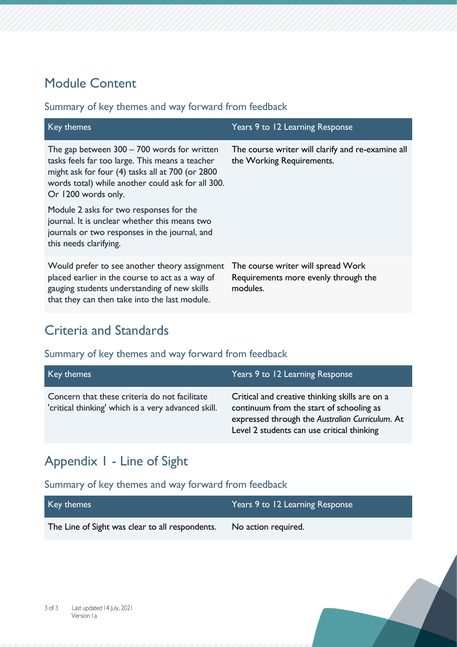# Module Content

#### Summary of key themes and way forward from feedback

| Key themes                                                                                                                                                                                                                       | Years 9 to 12 Learning Response                                                        |
|----------------------------------------------------------------------------------------------------------------------------------------------------------------------------------------------------------------------------------|----------------------------------------------------------------------------------------|
| The gap between $300 - 700$ words for written<br>tasks feels far too large. This means a teacher<br>might ask for four (4) tasks all at 700 (or 2800<br>words total) while another could ask for all 300.<br>Or 1200 words only. | The course writer will clarify and re-examine all<br>the Working Requirements.         |
| Module 2 asks for two responses for the<br>journal. It is unclear whether this means two<br>journals or two responses in the journal, and<br>this needs clarifying.                                                              |                                                                                        |
| Would prefer to see another theory assignment<br>placed earlier in the course to act as a way of<br>gauging students understanding of new skills<br>that they can then take into the last module.                                | The course writer will spread Work<br>Requirements more evenly through the<br>modules. |

# Criteria and Standards

#### Summary of key themes and way forward from feedback

| Key themes                                                                                           | Years 9 to 12 Learning Response                                                                                                                                                             |
|------------------------------------------------------------------------------------------------------|---------------------------------------------------------------------------------------------------------------------------------------------------------------------------------------------|
| Concern that these criteria do not facilitate<br>'critical thinking' which is a very advanced skill. | Critical and creative thinking skills are on a<br>continuum from the start of schooling as<br>expressed through the Australian Curriculum. At<br>Level 2 students can use critical thinking |

# Appendix 1 - Line of Sight

#### Summary of key themes and way forward from feedback

| Key themes                                      | Years 9 to 12 Learning Response |
|-------------------------------------------------|---------------------------------|
| The Line of Sight was clear to all respondents. | No action required.             |